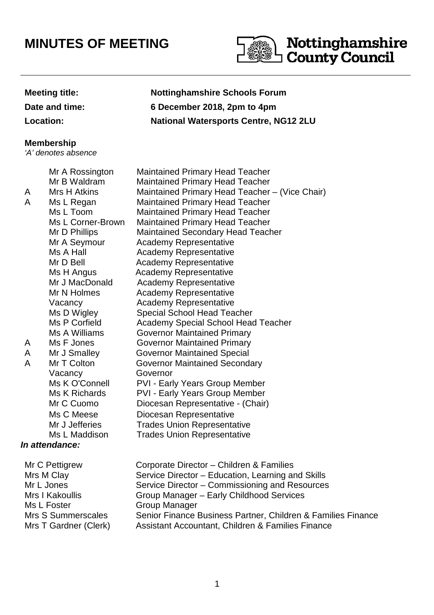## **MINUTES OF MEETING**



## **Meeting title: Nottinghamshire Schools Forum Date and time: 6 December 2018, 2pm to 4pm Location: National Watersports Centre, NG12 2LU**

## **Membership**

'A' denotes absence

|   | Mr A Rossington     | <b>Maintained Primary Head Teacher</b>         |
|---|---------------------|------------------------------------------------|
|   | Mr B Waldram        | <b>Maintained Primary Head Teacher</b>         |
| A | <b>Mrs H Atkins</b> | Maintained Primary Head Teacher - (Vice Chair) |
| A | Ms L Regan          | <b>Maintained Primary Head Teacher</b>         |
|   | Ms L Toom           | <b>Maintained Primary Head Teacher</b>         |
|   | Ms L Corner-Brown   | <b>Maintained Primary Head Teacher</b>         |
|   | Mr D Phillips       | <b>Maintained Secondary Head Teacher</b>       |
|   | Mr A Seymour        | <b>Academy Representative</b>                  |
|   | Ms A Hall           | Academy Representative                         |
|   | Mr D Bell           | <b>Academy Representative</b>                  |
|   | Ms H Angus          | <b>Academy Representative</b>                  |
|   | Mr J MacDonald      | Academy Representative                         |
|   | Mr N Holmes         | <b>Academy Representative</b>                  |
|   | Vacancy             | <b>Academy Representative</b>                  |
|   | Ms D Wigley         | <b>Special School Head Teacher</b>             |
|   | Ms P Corfield       | <b>Academy Special School Head Teacher</b>     |
|   | Ms A Williams       | <b>Governor Maintained Primary</b>             |
| A | Ms F Jones          | <b>Governor Maintained Primary</b>             |
| A | Mr J Smalley        | <b>Governor Maintained Special</b>             |
| A | Mr T Colton         | <b>Governor Maintained Secondary</b>           |
|   | Vacancy             | Governor                                       |
|   | Ms K O'Connell      | PVI - Early Years Group Member                 |
|   | Ms K Richards       | <b>PVI - Early Years Group Member</b>          |
|   | Mr C Cuomo          | Diocesan Representative - (Chair)              |
|   | Ms C Meese          | Diocesan Representative                        |
|   | Mr J Jefferies      | <b>Trades Union Representative</b>             |
|   | Ms L Maddison       | <b>Trades Union Representative</b>             |
|   | In attendance:      |                                                |

| Mr C Pettigrew                              | Corporate Director - Children & Families                                                                          |
|---------------------------------------------|-------------------------------------------------------------------------------------------------------------------|
| Mrs M Clay                                  | Service Director - Education, Learning and Skills                                                                 |
| Mr L Jones                                  | Service Director – Commissioning and Resources                                                                    |
| Mrs I Kakoullis                             | Group Manager - Early Childhood Services                                                                          |
| Ms L Foster                                 | <b>Group Manager</b>                                                                                              |
| Mrs S Summerscales<br>Mrs T Gardner (Clerk) | Senior Finance Business Partner, Children & Families Finance<br>Assistant Accountant, Children & Families Finance |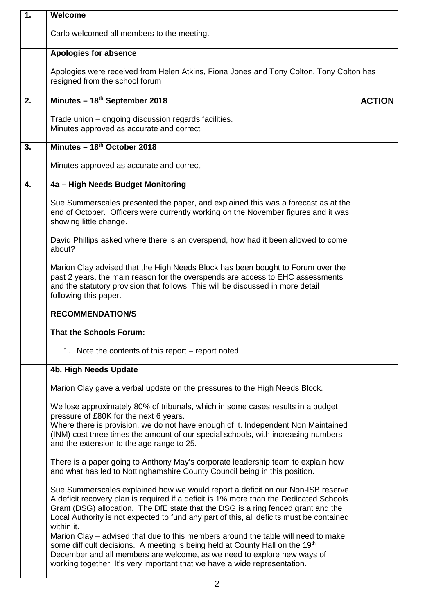| $\overline{1}$ . | Welcome                                                                                                                                                                                                                                                                                                                                                                   |               |  |  |
|------------------|---------------------------------------------------------------------------------------------------------------------------------------------------------------------------------------------------------------------------------------------------------------------------------------------------------------------------------------------------------------------------|---------------|--|--|
|                  | Carlo welcomed all members to the meeting.                                                                                                                                                                                                                                                                                                                                |               |  |  |
|                  | Apologies for absence                                                                                                                                                                                                                                                                                                                                                     |               |  |  |
|                  | Apologies were received from Helen Atkins, Fiona Jones and Tony Colton. Tony Colton has<br>resigned from the school forum                                                                                                                                                                                                                                                 |               |  |  |
| 2.               | Minutes - 18th September 2018                                                                                                                                                                                                                                                                                                                                             | <b>ACTION</b> |  |  |
|                  | Trade union – ongoing discussion regards facilities.<br>Minutes approved as accurate and correct                                                                                                                                                                                                                                                                          |               |  |  |
| 3.               | Minutes - 18th October 2018                                                                                                                                                                                                                                                                                                                                               |               |  |  |
|                  | Minutes approved as accurate and correct                                                                                                                                                                                                                                                                                                                                  |               |  |  |
| 4.               | 4a - High Needs Budget Monitoring                                                                                                                                                                                                                                                                                                                                         |               |  |  |
|                  | Sue Summerscales presented the paper, and explained this was a forecast as at the<br>end of October. Officers were currently working on the November figures and it was<br>showing little change.                                                                                                                                                                         |               |  |  |
|                  | David Phillips asked where there is an overspend, how had it been allowed to come<br>about?                                                                                                                                                                                                                                                                               |               |  |  |
|                  | Marion Clay advised that the High Needs Block has been bought to Forum over the<br>past 2 years, the main reason for the overspends are access to EHC assessments<br>and the statutory provision that follows. This will be discussed in more detail<br>following this paper.                                                                                             |               |  |  |
|                  | <b>RECOMMENDATION/S</b>                                                                                                                                                                                                                                                                                                                                                   |               |  |  |
|                  | <b>That the Schools Forum:</b>                                                                                                                                                                                                                                                                                                                                            |               |  |  |
|                  | 1. Note the contents of this report – report noted                                                                                                                                                                                                                                                                                                                        |               |  |  |
|                  | 4b. High Needs Update                                                                                                                                                                                                                                                                                                                                                     |               |  |  |
|                  | Marion Clay gave a verbal update on the pressures to the High Needs Block.                                                                                                                                                                                                                                                                                                |               |  |  |
|                  | We lose approximately 80% of tribunals, which in some cases results in a budget<br>pressure of £80K for the next 6 years.<br>Where there is provision, we do not have enough of it. Independent Non Maintained<br>(INM) cost three times the amount of our special schools, with increasing numbers<br>and the extension to the age range to 25.                          |               |  |  |
|                  | There is a paper going to Anthony May's corporate leadership team to explain how<br>and what has led to Nottinghamshire County Council being in this position.                                                                                                                                                                                                            |               |  |  |
|                  | Sue Summerscales explained how we would report a deficit on our Non-ISB reserve.<br>A deficit recovery plan is required if a deficit is 1% more than the Dedicated Schools<br>Grant (DSG) allocation. The DfE state that the DSG is a ring fenced grant and the<br>Local Authority is not expected to fund any part of this, all deficits must be contained<br>within it. |               |  |  |
|                  | Marion Clay – advised that due to this members around the table will need to make<br>some difficult decisions. A meeting is being held at County Hall on the 19th<br>December and all members are welcome, as we need to explore new ways of<br>working together. It's very important that we have a wide representation.                                                 |               |  |  |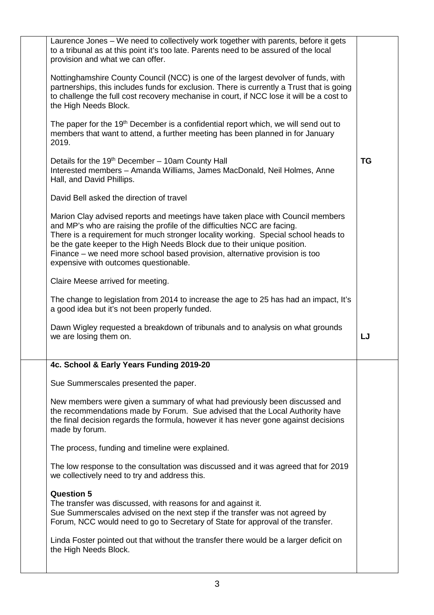| Laurence Jones – We need to collectively work together with parents, before it gets<br>to a tribunal as at this point it's too late. Parents need to be assured of the local<br>provision and what we can offer.                                                                                                                                                                                                                                     |           |
|------------------------------------------------------------------------------------------------------------------------------------------------------------------------------------------------------------------------------------------------------------------------------------------------------------------------------------------------------------------------------------------------------------------------------------------------------|-----------|
| Nottinghamshire County Council (NCC) is one of the largest devolver of funds, with<br>partnerships, this includes funds for exclusion. There is currently a Trust that is going<br>to challenge the full cost recovery mechanise in court, if NCC lose it will be a cost to<br>the High Needs Block.                                                                                                                                                 |           |
| The paper for the 19 <sup>th</sup> December is a confidential report which, we will send out to<br>members that want to attend, a further meeting has been planned in for January<br>2019.                                                                                                                                                                                                                                                           |           |
| Details for the 19 <sup>th</sup> December - 10am County Hall<br>Interested members - Amanda Williams, James MacDonald, Neil Holmes, Anne<br>Hall, and David Phillips.                                                                                                                                                                                                                                                                                | <b>TG</b> |
| David Bell asked the direction of travel                                                                                                                                                                                                                                                                                                                                                                                                             |           |
| Marion Clay advised reports and meetings have taken place with Council members<br>and MP's who are raising the profile of the difficulties NCC are facing.<br>There is a requirement for much stronger locality working. Special school heads to<br>be the gate keeper to the High Needs Block due to their unique position.<br>Finance – we need more school based provision, alternative provision is too<br>expensive with outcomes questionable. |           |
| Claire Meese arrived for meeting.                                                                                                                                                                                                                                                                                                                                                                                                                    |           |
| The change to legislation from 2014 to increase the age to 25 has had an impact, It's<br>a good idea but it's not been properly funded.                                                                                                                                                                                                                                                                                                              |           |
| Dawn Wigley requested a breakdown of tribunals and to analysis on what grounds<br>we are losing them on.                                                                                                                                                                                                                                                                                                                                             | LJ        |
| 4c. School & Early Years Funding 2019-20                                                                                                                                                                                                                                                                                                                                                                                                             |           |
| Sue Summerscales presented the paper.                                                                                                                                                                                                                                                                                                                                                                                                                |           |
| New members were given a summary of what had previously been discussed and<br>the recommendations made by Forum. Sue advised that the Local Authority have<br>the final decision regards the formula, however it has never gone against decisions<br>made by forum.                                                                                                                                                                                  |           |
| The process, funding and timeline were explained.                                                                                                                                                                                                                                                                                                                                                                                                    |           |
| The low response to the consultation was discussed and it was agreed that for 2019<br>we collectively need to try and address this.                                                                                                                                                                                                                                                                                                                  |           |
| <b>Question 5</b><br>The transfer was discussed, with reasons for and against it.<br>Sue Summerscales advised on the next step if the transfer was not agreed by<br>Forum, NCC would need to go to Secretary of State for approval of the transfer.                                                                                                                                                                                                  |           |
| Linda Foster pointed out that without the transfer there would be a larger deficit on<br>the High Needs Block.                                                                                                                                                                                                                                                                                                                                       |           |
|                                                                                                                                                                                                                                                                                                                                                                                                                                                      |           |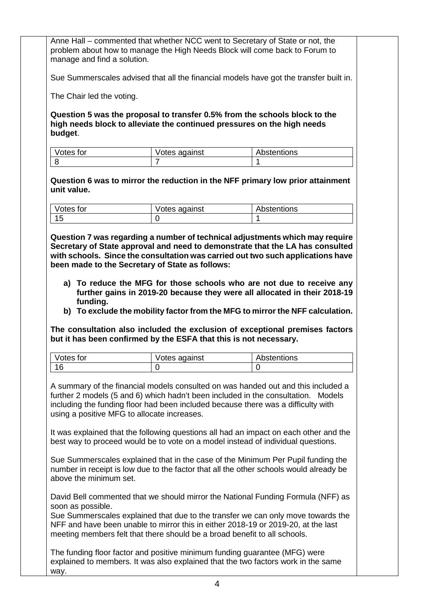|                             | Anne Hall – commented that whether NCC went to Secretary of State or not, the |                                                                                                                                                                                                                                                                                                                                                                                                                                          |  |
|-----------------------------|-------------------------------------------------------------------------------|------------------------------------------------------------------------------------------------------------------------------------------------------------------------------------------------------------------------------------------------------------------------------------------------------------------------------------------------------------------------------------------------------------------------------------------|--|
| manage and find a solution. |                                                                               | problem about how to manage the High Needs Block will come back to Forum to                                                                                                                                                                                                                                                                                                                                                              |  |
|                             |                                                                               | Sue Summerscales advised that all the financial models have got the transfer built in.                                                                                                                                                                                                                                                                                                                                                   |  |
| The Chair led the voting.   |                                                                               |                                                                                                                                                                                                                                                                                                                                                                                                                                          |  |
| budget.                     | high needs block to alleviate the continued pressures on the high needs       | Question 5 was the proposal to transfer 0.5% from the schools block to the                                                                                                                                                                                                                                                                                                                                                               |  |
| Votes for                   | Votes against                                                                 | Abstentions                                                                                                                                                                                                                                                                                                                                                                                                                              |  |
| 8                           | 7                                                                             | 1                                                                                                                                                                                                                                                                                                                                                                                                                                        |  |
| unit value.                 |                                                                               | Question 6 was to mirror the reduction in the NFF primary low prior attainment                                                                                                                                                                                                                                                                                                                                                           |  |
| Votes for                   | Votes against                                                                 | Abstentions                                                                                                                                                                                                                                                                                                                                                                                                                              |  |
| 15                          | 0                                                                             | 1                                                                                                                                                                                                                                                                                                                                                                                                                                        |  |
| funding.                    |                                                                               | a) To reduce the MFG for those schools who are not due to receive any<br>further gains in 2019-20 because they were all allocated in their 2018-19<br>b) To exclude the mobility factor from the MFG to mirror the NFF calculation.                                                                                                                                                                                                      |  |
|                             | but it has been confirmed by the ESFA that this is not necessary.             | The consultation also included the exclusion of exceptional premises factors                                                                                                                                                                                                                                                                                                                                                             |  |
| Votes for                   | Votes against                                                                 | Abstentions                                                                                                                                                                                                                                                                                                                                                                                                                              |  |
| 16                          | 0                                                                             | 0                                                                                                                                                                                                                                                                                                                                                                                                                                        |  |
|                             | using a positive MFG to allocate increases.                                   | A summary of the financial models consulted on was handed out and this included a<br>further 2 models (5 and 6) which hadn't been included in the consultation. Models<br>including the funding floor had been included because there was a difficulty with<br>It was explained that the following questions all had an impact on each other and the<br>best way to proceed would be to vote on a model instead of individual questions. |  |
| above the minimum set.      |                                                                               | Sue Summerscales explained that in the case of the Minimum Per Pupil funding the<br>number in receipt is low due to the factor that all the other schools would already be                                                                                                                                                                                                                                                               |  |
| soon as possible.           | meeting members felt that there should be a broad benefit to all schools.     | David Bell commented that we should mirror the National Funding Formula (NFF) as<br>Sue Summerscales explained that due to the transfer we can only move towards the<br>NFF and have been unable to mirror this in either 2018-19 or 2019-20, at the last                                                                                                                                                                                |  |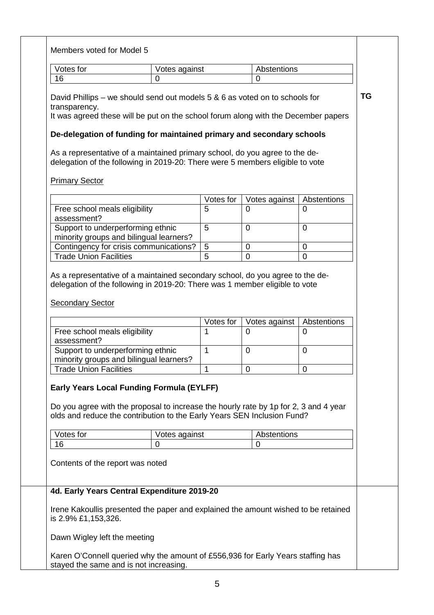| Votes for                                                                    | Votes against                                                                                                                                                                                                       |                | Abstentions    |                |
|------------------------------------------------------------------------------|---------------------------------------------------------------------------------------------------------------------------------------------------------------------------------------------------------------------|----------------|----------------|----------------|
| 16                                                                           | 0                                                                                                                                                                                                                   |                | $\mathbf 0$    |                |
| transparency.                                                                | David Phillips – we should send out models 5 & 6 as voted on to schools for<br>It was agreed these will be put on the school forum along with the December papers                                                   |                |                |                |
|                                                                              | De-delegation of funding for maintained primary and secondary schools                                                                                                                                               |                |                |                |
|                                                                              | As a representative of a maintained primary school, do you agree to the de-<br>delegation of the following in 2019-20: There were 5 members eligible to vote                                                        |                |                |                |
| <b>Primary Sector</b>                                                        |                                                                                                                                                                                                                     |                |                |                |
|                                                                              |                                                                                                                                                                                                                     | Votes for      | Votes against  | Abstentions    |
| Free school meals eligibility<br>assessment?                                 |                                                                                                                                                                                                                     | 5              | 0              | 0              |
| Support to underperforming ethnic<br>minority groups and bilingual learners? |                                                                                                                                                                                                                     | 5              | $\overline{0}$ | $\overline{0}$ |
|                                                                              | Contingency for crisis communications?                                                                                                                                                                              | 5              | 0              | 0              |
| <b>Trade Union Facilities</b>                                                |                                                                                                                                                                                                                     | $\overline{5}$ | $\overline{0}$ | $\overline{0}$ |
|                                                                              | As a representative of a maintained secondary school, do you agree to the de-<br>delegation of the following in 2019-20: There was 1 member eligible to vote                                                        | Votes for      | Votes against  | Abstentions    |
| Free school meals eligibility                                                |                                                                                                                                                                                                                     | 1              | $\overline{0}$ | 0              |
| assessment?<br>Support to underperforming ethnic                             |                                                                                                                                                                                                                     | $\mathbf{1}$   | $\mathbf 0$    | $\overline{0}$ |
| minority groups and bilingual learners?<br><b>Trade Union Facilities</b>     |                                                                                                                                                                                                                     | 1              | 0              | 0              |
| <b>Secondary Sector</b>                                                      | <b>Early Years Local Funding Formula (EYLFF)</b><br>Do you agree with the proposal to increase the hourly rate by 1p for 2, 3 and 4 year<br>olds and reduce the contribution to the Early Years SEN Inclusion Fund? |                |                |                |
| Votes for                                                                    | Votes against                                                                                                                                                                                                       |                | Abstentions    |                |
| 16                                                                           | 0                                                                                                                                                                                                                   |                | 0              |                |
|                                                                              |                                                                                                                                                                                                                     |                |                |                |
| Contents of the report was noted                                             | 4d. Early Years Central Expenditure 2019-20                                                                                                                                                                         |                |                |                |
| is 2.9% £1,153,326.                                                          | Irene Kakoullis presented the paper and explained the amount wished to be retained                                                                                                                                  |                |                |                |